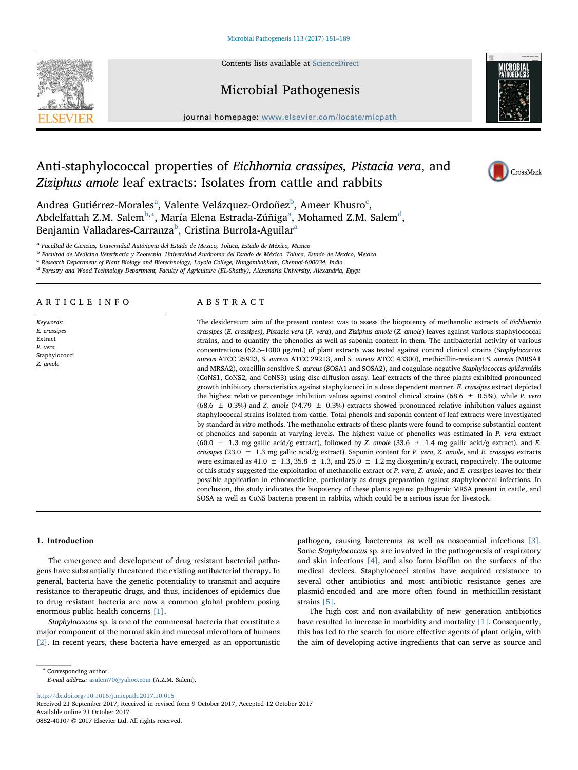

# Microbial Pathogenesis



journal homepage: [www.elsevier.com/locate/micpath](https://www.elsevier.com/locate/micpath)

# Anti-staphylococcal properties of Eichhornia crassipes, Pistacia vera, and Ziziphus amole leaf extracts: Isolates from cattle and rabbits

CrossMark

Andre[a](#page-0-0) Gutiérrez-Morales<sup>a</sup>, Valente Velázquez-Ordoñez<sup>[b](#page-0-1)</sup>, Ameer Khusro<sup>[c](#page-0-2)</sup>, A[b](#page-0-1)delf[a](#page-0-0)ttah Z.M. Salem $^{\rm b, *},$  María Elena Estra[d](#page-0-4)a-Zúñiga $^{\rm a}$ , Mohamed Z.M. Salem $^{\rm d}$ , Benjamin Valladares-Carranza<sup>[b](#page-0-1)</sup>, Cristin[a](#page-0-0) Burrola-Aguilar<sup>a</sup>

<span id="page-0-0"></span><sup>a</sup> Facultad de Ciencias, Universidad Autónoma del Estado de Mexico, Toluca, Estado de México, Mexico

<span id="page-0-1"></span><sup>b</sup> Facultad de Medicina Veterinaria y Zootecnia, Universidad Autónoma del Estado de México, Toluca, Estado de Mexico, Mexico

<span id="page-0-2"></span><sup>c</sup> Research Department of Plant Biology and Biotechnology, Loyola College, Nungambakkam, Chennai-600034, India

<span id="page-0-4"></span><sup>d</sup> Forestry and Wood Technology Department, Faculty of Agriculture (EL-Shatby), Alexandria University, Alexandria, Egypt

## ARTICLE INFO

Keywords:  $E.$  crassipes Extract P. vera Staphylococci Z. amole

## ABSTRACT

The desideratum aim of the present context was to assess the biopotency of methanolic extracts of Eichhornia crassipes (E. crassipes), Pistacia vera (P. vera), and Ziziphus amole (Z. amole) leaves against various staphylococcal strains, and to quantify the phenolics as well as saponin content in them. The antibacterial activity of various concentrations (62.5–1000 μg/mL) of plant extracts was tested against control clinical strains (Staphylococcus aureus ATCC 25923, S. aureus ATCC 29213, and S. aureus ATCC 43300), methicillin-resistant S. aureus (MRSA1 and MRSA2), oxacillin sensitive S. aureus (SOSA1 and SOSA2), and coagulase-negative Staphylococcus epidermidis (CoNS1, CoNS2, and CoNS3) using disc diffusion assay. Leaf extracts of the three plants exhibited pronounced growth inhibitory characteristics against staphylococci in a dose dependent manner. E. crassipes extract depicted the highest relative percentage inhibition values against control clinical strains (68.6  $\pm$  0.5%), while P. vera (68.6  $\pm$  0.3%) and Z. amole (74.79  $\pm$  0.3%) extracts showed pronounced relative inhibition values against staphylococcal strains isolated from cattle. Total phenols and saponin content of leaf extracts were investigated by standard in vitro methods. The methanolic extracts of these plants were found to comprise substantial content of phenolics and saponin at varying levels. The highest value of phenolics was estimated in P. vera extract (60.0  $\pm$  1.3 mg gallic acid/g extract), followed by Z. amole (33.6  $\pm$  1.4 mg gallic acid/g extract), and E. crassipes (23.0  $\pm$  1.3 mg gallic acid/g extract). Saponin content for P. vera, Z. amole, and E. crassipes extracts were estimated as 41.0  $\pm$  1.3, 35.8  $\pm$  1.3, and 25.0  $\pm$  1.2 mg diosgenin/g extract, respectively. The outcome of this study suggested the exploitation of methanolic extract of P. vera, Z. amole, and E. crassipes leaves for their possible application in ethnomedicine, particularly as drugs preparation against staphylococcal infections. In conclusion, the study indicates the biopotency of these plants against pathogenic MRSA present in cattle, and SOSA as well as CoNS bacteria present in rabbits, which could be a serious issue for livestock.

#### 1. Introduction

The emergence and development of drug resistant bacterial pathogens have substantially threatened the existing antibacterial therapy. In general, bacteria have the genetic potentiality to transmit and acquire resistance to therapeutic drugs, and thus, incidences of epidemics due to drug resistant bacteria are now a common global problem posing enormous public health concerns [\[1\]](#page-7-0).

Staphylococcus sp. is one of the commensal bacteria that constitute a major component of the normal skin and mucosal microflora of humans [\[2\].](#page-7-1) In recent years, these bacteria have emerged as an opportunistic

pathogen, causing bacteremia as well as nosocomial infections [\[3\]](#page-7-2). Some Staphylococcus sp. are involved in the pathogenesis of respiratory and skin infections [\[4\],](#page-7-3) and also form biofilm on the surfaces of the medical devices. Staphylococci strains have acquired resistance to several other antibiotics and most antibiotic resistance genes are plasmid-encoded and are more often found in methicillin-resistant strains [\[5\].](#page-7-4)

The high cost and non-availability of new generation antibiotics have resulted in increase in morbidity and mortality [\[1\]](#page-7-0). Consequently, this has led to the search for more effective agents of plant origin, with the aim of developing active ingredients that can serve as source and

<span id="page-0-3"></span><sup>∗</sup> Corresponding author.

E-mail address: [asalem70@yahoo.com](mailto:asalem70@yahoo.com) (A.Z.M. Salem).

<http://dx.doi.org/10.1016/j.micpath.2017.10.015>

Received 21 September 2017; Received in revised form 9 October 2017; Accepted 12 October 2017 Available online 21 October 2017 0882-4010/ © 2017 Elsevier Ltd. All rights reserved.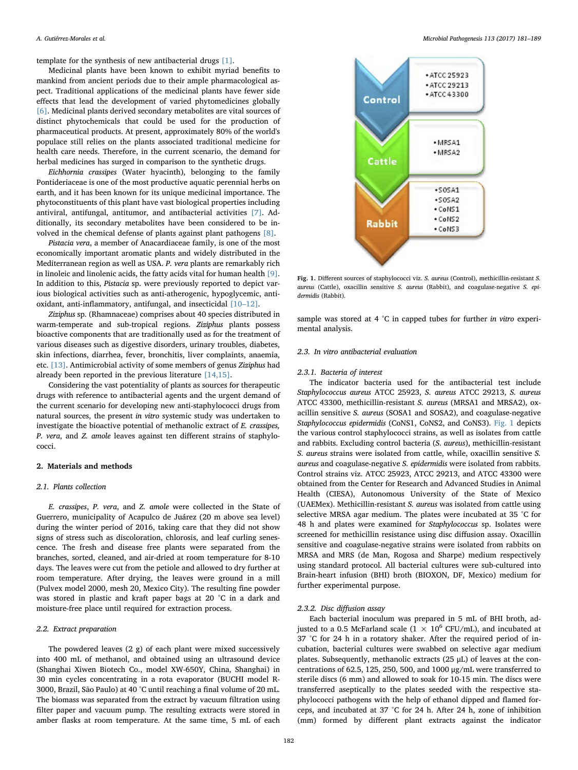template for the synthesis of new antibacterial drugs [\[1\].](#page-7-0)

Medicinal plants have been known to exhibit myriad benefits to mankind from ancient periods due to their ample pharmacological aspect. Traditional applications of the medicinal plants have fewer side effects that lead the development of varied phytomedicines globally [\[6\].](#page-7-5) Medicinal plants derived secondary metabolites are vital sources of distinct phytochemicals that could be used for the production of pharmaceutical products. At present, approximately 80% of the world's populace still relies on the plants associated traditional medicine for health care needs. Therefore, in the current scenario, the demand for herbal medicines has surged in comparison to the synthetic drugs.

Eichhornia crassipes (Water hyacinth), belonging to the family Pontideriaceae is one of the most productive aquatic perennial herbs on earth, and it has been known for its unique medicinal importance. The phytoconstituents of this plant have vast biological properties including antiviral, antifungal, antitumor, and antibacterial activities [\[7\].](#page-7-6) Additionally, its secondary metabolites have been considered to be involved in the chemical defense of plants against plant pathogens [\[8\]](#page-7-7).

Pistacia vera, a member of Anacardiaceae family, is one of the most economically important aromatic plants and widely distributed in the Mediterranean region as well as USA. P. vera plants are remarkably rich in linoleic and linolenic acids, the fatty acids vital for human health [\[9\]](#page-7-8). In addition to this, Pistacia sp. were previously reported to depict various biological activities such as anti-atherogenic, hypoglycemic, antioxidant, anti-inflammatory, antifungal, and insecticidal [10–[12\].](#page-7-9)

Ziziphus sp. (Rhamnaceae) comprises about 40 species distributed in warm-temperate and sub-tropical regions. Ziziphus plants possess bioactive components that are traditionally used as for the treatment of various diseases such as digestive disorders, urinary troubles, diabetes, skin infections, diarrhea, fever, bronchitis, liver complaints, anaemia, etc. [\[13\].](#page-7-10) Antimicrobial activity of some members of genus Ziziphus had already been reported in the previous literature [\[14,15\]](#page-7-11).

Considering the vast potentiality of plants as sources for therapeutic drugs with reference to antibacterial agents and the urgent demand of the current scenario for developing new anti-staphylococci drugs from natural sources, the present in vitro systemic study was undertaken to investigate the bioactive potential of methanolic extract of E. crassipes, P. vera, and Z. amole leaves against ten different strains of staphylococci.

#### 2. Materials and methods

#### 2.1. Plants collection

E. crassipes, P. vera, and Z. amole were collected in the State of Guerrero, municipality of Acapulco de Juárez (20 m above sea level) during the winter period of 2016, taking care that they did not show signs of stress such as discoloration, chlorosis, and leaf curling senescence. The fresh and disease free plants were separated from the branches, sorted, cleaned, and air-dried at room temperature for 8-10 days. The leaves were cut from the petiole and allowed to dry further at room temperature. After drying, the leaves were ground in a mill (Pulvex model 2000, mesh 20, Mexico City). The resulting fine powder was stored in plastic and kraft paper bags at 20 °C in a dark and moisture-free place until required for extraction process.

## 2.2. Extract preparation

The powdered leaves (2 g) of each plant were mixed successively into 400 mL of methanol, and obtained using an ultrasound device (Shanghai Xiwen Biotech Co., model XW-650Y, China, Shanghai) in 30 min cycles concentrating in a rota evaporator (BUCHI model R-3000, Brazil, São Paulo) at 40 °C until reaching a final volume of 20 mL. The biomass was separated from the extract by vacuum filtration using filter paper and vacuum pump. The resulting extracts were stored in amber flasks at room temperature. At the same time, 5 mL of each

<span id="page-1-0"></span>

Fig. 1. Different sources of staphylococci viz. S. aureus (Control), methicillin-resistant S. aureus (Cattle), oxacillin sensitive S. aureus (Rabbit), and coagulase-negative S. epidermidis (Rabbit).

sample was stored at 4 °C in capped tubes for further in vitro experimental analysis.

## 2.3. In vitro antibacterial evaluation

#### 2.3.1. Bacteria of interest

The indicator bacteria used for the antibacterial test include Staphylococcus aureus ATCC 25923, S. aureus ATCC 29213, S. aureus ATCC 43300, methicillin-resistant S. aureus (MRSA1 and MRSA2), oxacillin sensitive S. aureus (SOSA1 and SOSA2), and coagulase-negative Staphylococcus epidermidis (CoNS1, CoNS2, and CoNS3). [Fig. 1](#page-1-0) depicts the various control staphylococci strains, as well as isolates from cattle and rabbits. Excluding control bacteria (S. aureus), methicillin-resistant S. aureus strains were isolated from cattle, while, oxacillin sensitive S. aureus and coagulase-negative S. epidermidis were isolated from rabbits. Control strains viz. ATCC 25923, ATCC 29213, and ATCC 43300 were obtained from the Center for Research and Advanced Studies in Animal Health (CIESA), Autonomous University of the State of Mexico (UAEMex). Methicillin-resistant S. aureus was isolated from cattle using selective MRSA agar medium. The plates were incubated at 35 °C for 48 h and plates were examined for Staphylococcus sp. Isolates were screened for methicillin resistance using disc diffusion assay. Oxacillin sensitive and coagulase-negative strains were isolated from rabbits on MRSA and MRS (de Man, Rogosa and Sharpe) medium respectively using standard protocol. All bacterial cultures were sub-cultured into Brain-heart infusion (BHI) broth (BIOXON, DF, Mexico) medium for further experimental purpose.

#### 2.3.2. Disc diffusion assay

Each bacterial inoculum was prepared in 5 mL of BHI broth, adjusted to a 0.5 McFarland scale ( $1 \times 10^6$  CFU/mL), and incubated at 37 °C for 24 h in a rotatory shaker. After the required period of incubation, bacterial cultures were swabbed on selective agar medium plates. Subsequently, methanolic extracts (25 μL) of leaves at the concentrations of 62.5, 125, 250, 500, and 1000 μg/mL were transferred to sterile discs (6 mm) and allowed to soak for 10-15 min. The discs were transferred aseptically to the plates seeded with the respective staphylococci pathogens with the help of ethanol dipped and flamed forceps, and incubated at 37 °C for 24 h. After 24 h, zone of inhibition (mm) formed by different plant extracts against the indicator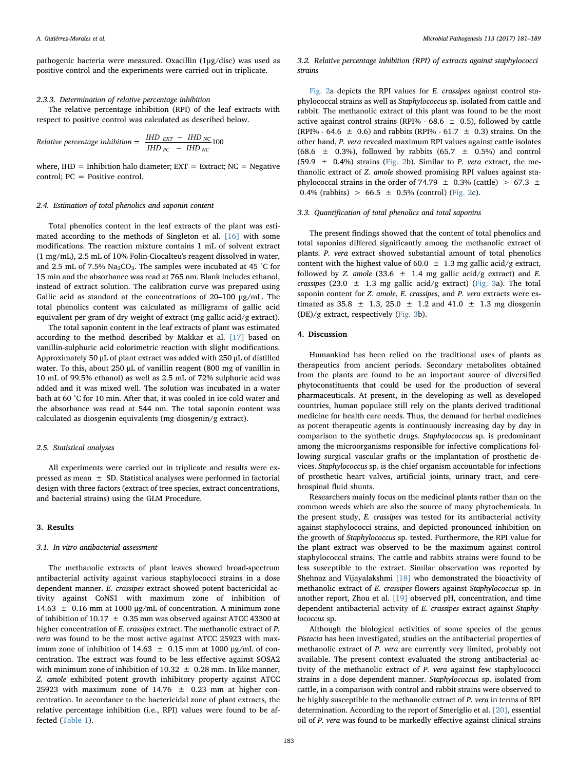pathogenic bacteria were measured. Oxacillin (1μg/disc) was used as positive control and the experiments were carried out in triplicate.

## 2.3.3. Determination of relative percentage inhibition

The relative percentage inhibition (RPI) of the leaf extracts with respect to positive control was calculated as described below.

*Relative percentage inhibition* = 
$$
\frac{IHD_{EXT} - IHD_{NC}}{IHD_{PC} - IHD_{NC}}100
$$

where,  $IHD = Inhibition halo diameter; EXT = Extract; NC = Negative$ control; PC = Positive control.

## 2.4. Estimation of total phenolics and saponin content

Total phenolics content in the leaf extracts of the plant was estimated according to the methods of Singleton et al. [\[16\]](#page-7-12) with some modifications. The reaction mixture contains 1 mL of solvent extract (1 mg/mL), 2.5 mL of 10% Folin-Ciocalteu's reagent dissolved in water, and 2.5 mL of 7.5%  $Na<sub>2</sub>CO<sub>3</sub>$ . The samples were incubated at 45 °C for 15 min and the absorbance was read at 765 nm. Blank includes ethanol, instead of extract solution. The calibration curve was prepared using Gallic acid as standard at the concentrations of 20–100 μg/mL. The total phenolics content was calculated as milligrams of gallic acid equivalent per gram of dry weight of extract (mg gallic acid/g extract).

The total saponin content in the leaf extracts of plant was estimated according to the method described by Makkar et al. [\[17\]](#page-7-13) based on vanillin-sulphuric acid colorimetric reaction with slight modifications. Approximately 50 μL of plant extract was added with 250 μL of distilled water. To this, about 250 μL of vanillin reagent (800 mg of vanillin in 10 mL of 99.5% ethanol) as well as 2.5 mL of 72% sulphuric acid was added and it was mixed well. The solution was incubated in a water bath at 60 °C for 10 min. After that, it was cooled in ice cold water and the absorbance was read at 544 nm. The total saponin content was calculated as diosgenin equivalents (mg diosgenin/g extract).

## 2.5. Statistical analyses

All experiments were carried out in triplicate and results were expressed as mean  $\pm$  SD. Statistical analyses were performed in factorial design with three factors (extract of tree species, extract concentrations, and bacterial strains) using the GLM Procedure.

#### 3. Results

#### 3.1. In vitro antibacterial assessment

The methanolic extracts of plant leaves showed broad-spectrum antibacterial activity against various staphylococci strains in a dose dependent manner. E. crassipes extract showed potent bactericidal activity against CoNS1 with maximum zone of inhibition of 14.63  $±$  0.16 mm at 1000 μg/mL of concentration. A minimum zone of inhibition of 10.17  $\pm$  0.35 mm was observed against ATCC 43300 at higher concentration of E. crassipes extract. The methanolic extract of P. vera was found to be the most active against ATCC 25923 with maximum zone of inhibition of 14.63  $\pm$  0.15 mm at 1000 μg/mL of concentration. The extract was found to be less effective against SOSA2 with minimum zone of inhibition of  $10.32 \pm 0.28$  mm. In like manner, Z. amole exhibited potent growth inhibitory property against ATCC 25923 with maximum zone of  $14.76 \pm 0.23$  mm at higher concentration. In accordance to the bactericidal zone of plant extracts, the relative percentage inhibition (i.e., RPI) values were found to be affected ([Table 1](#page-3-0)).

#### 3.2. Relative percentage inhibition (RPI) of extracts against staphylococci strains

[Fig. 2](#page-6-0)a depicts the RPI values for E. crassipes against control staphylococcal strains as well as Staphylococcus sp. isolated from cattle and rabbit. The methanolic extract of this plant was found to be the most active against control strains (RPI% - 68.6  $\pm$  0.5), followed by cattle (RPI% - 64.6  $\pm$  0.6) and rabbits (RPI% - 61.7  $\pm$  0.3) strains. On the other hand, P. vera revealed maximum RPI values against cattle isolates (68.6  $\pm$  0.3%), followed by rabbits (65.7  $\pm$  0.5%) and control (59.9  $\pm$  0.4%) strains ([Fig. 2b](#page-6-0)). Similar to P. vera extract, the methanolic extract of Z. amole showed promising RPI values against staphylococcal strains in the order of 74.79  $\pm$  0.3% (cattle)  $> 67.3 \pm$ 0.4% (rabbits) > 66.5  $\pm$  0.5% (control) [\(Fig. 2c](#page-6-0)).

#### 3.3. Quantification of total phenolics and total saponins

The present findings showed that the content of total phenolics and total saponins differed significantly among the methanolic extract of plants. P. vera extract showed substantial amount of total phenolics content with the highest value of 60.0  $\pm$  1.3 mg gallic acid/g extract, followed by Z. amole (33.6  $\pm$  1.4 mg gallic acid/g extract) and E. crassipes (23.0  $\pm$  1.3 mg gallic acid/g extract) ([Fig. 3](#page-7-14)a). The total saponin content for Z. amole, E. crassipes, and P. vera extracts were estimated as 35.8  $\pm$  1.3, 25.0  $\pm$  1.2 and 41.0  $\pm$  1.3 mg diosgenin  $(DE)/g$  extract, respectively [\(Fig. 3b](#page-7-14)).

## 4. Discussion

Humankind has been relied on the traditional uses of plants as therapeutics from ancient periods. Secondary metabolites obtained from the plants are found to be an important source of diversified phytoconstituents that could be used for the production of several pharmaceuticals. At present, in the developing as well as developed countries, human populace still rely on the plants derived traditional medicine for health care needs. Thus, the demand for herbal medicines as potent therapeutic agents is continuously increasing day by day in comparison to the synthetic drugs. Staphylococcus sp. is predominant among the microorganisms responsible for infective complications following surgical vascular grafts or the implantation of prosthetic devices. Staphylococcus sp. is the chief organism accountable for infections of prosthetic heart valves, artificial joints, urinary tract, and cerebrospinal fluid shunts.

Researchers mainly focus on the medicinal plants rather than on the common weeds which are also the source of many phytochemicals. In the present study, E. crassipes was tested for its antibacterial activity against staphylococci strains, and depicted pronounced inhibition on the growth of Staphylococcus sp. tested. Furthermore, the RPI value for the plant extract was observed to be the maximum against control staphylococcal strains. The cattle and rabbits strains were found to be less susceptible to the extract. Similar observation was reported by Shehnaz and Vijayalakshmi [\[18\]](#page-7-15) who demonstrated the bioactivity of methanolic extract of E. crassipes flowers against Staphylococcus sp. In another report, Zhou et al. [\[19\]](#page-7-16) observed pH, concentration, and time dependent antibacterial activity of E. crassipes extract against Staphylococcus sp.

Although the biological activities of some species of the genus Pistacia has been investigated, studies on the antibacterial properties of methanolic extract of P. vera are currently very limited, probably not available. The present context evaluated the strong antibacterial activity of the methanolic extract of P. vera against few staphylococci strains in a dose dependent manner. Staphylococcus sp. isolated from cattle, in a comparison with control and rabbit strains were observed to be highly susceptible to the methanolic extract of P. vera in terms of RPI determination. According to the report of Smeriglio et al. [\[20\]](#page-7-17), essential oil of P. vera was found to be markedly effective against clinical strains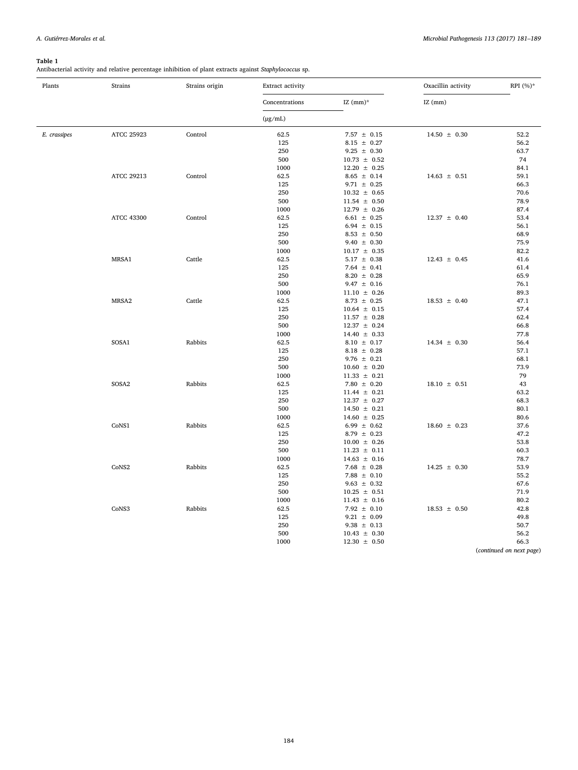## <span id="page-3-0"></span>Table 1

Antibacterial activity and relative percentage inhibition of plant extracts against Staphylococcus sp.

| Plants       | Strains           | Strains origin | Extract activity |                                      | Oxacillin activity | RPI $(%)^*$              |
|--------------|-------------------|----------------|------------------|--------------------------------------|--------------------|--------------------------|
|              |                   |                | Concentrations   | IZ $(mm)^*$                          | $IZ$ (mm)          |                          |
|              |                   |                | $(\mu g/mL)$     |                                      |                    |                          |
| E. crassipes | ATCC 25923        | Control        | 62.5             | 7.57 $\pm$ 0.15                      | $14.50 \pm 0.30$   | 52.2                     |
|              |                   |                | 125              | $8.15 \pm 0.27$                      |                    | 56.2                     |
|              |                   |                | 250              | $9.25 \pm 0.30$                      |                    | 63.7                     |
|              |                   |                | 500              | $10.73 \pm 0.52$                     |                    | 74                       |
|              |                   |                | 1000             | $12.20 \pm 0.25$                     |                    | 84.1                     |
|              | ATCC 29213        | Control        | 62.5             | $8.65 \pm 0.14$                      | $14.63 \pm 0.51$   | 59.1                     |
|              |                   |                | 125              | $9.71 \pm 0.25$                      |                    | 66.3                     |
|              |                   |                | 250              | $10.32 \pm 0.65$                     |                    | 70.6                     |
|              |                   |                | 500              | $11.54 \pm 0.50$                     |                    | 78.9                     |
|              |                   |                | 1000             | $12.79 \pm 0.26$                     |                    | 87.4                     |
|              | <b>ATCC 43300</b> | Control        | 62.5             | $6.61 \pm 0.25$                      | $12.37 \pm 0.40$   | 53.4                     |
|              |                   |                | 125              | $6.94 \pm 0.15$                      |                    | 56.1                     |
|              |                   |                | 250              | $8.53 \pm 0.50$                      |                    | 68.9                     |
|              |                   |                | 500              | $9.40 \pm 0.30$                      |                    | 75.9                     |
|              |                   |                | 1000             | $10.17 \pm 0.35$                     |                    | 82.2                     |
|              | MRSA1             | Cattle         | 62.5             | $5.17 \pm 0.38$                      | $12.43 \pm 0.45$   | 41.6                     |
|              |                   |                | 125              | $7.64 \pm 0.41$                      |                    | 61.4                     |
|              |                   |                | 250              | $8.20 \pm 0.28$                      |                    | 65.9                     |
|              |                   |                | 500              | $9.47 \pm 0.16$                      |                    | 76.1                     |
|              |                   |                | 1000             | $11.10 \pm 0.26$                     |                    | 89.3                     |
|              | MRSA2             | Cattle         | 62.5             | $8.73 \pm 0.25$                      | $18.53 \pm 0.40$   | 47.1                     |
|              |                   |                | 125              | $10.64 \pm 0.15$                     |                    | 57.4                     |
|              |                   |                | 250              | $11.57 \pm 0.28$                     |                    | 62.4                     |
|              |                   |                | 500<br>1000      | $12.37 \pm 0.24$<br>$14.40 \pm 0.33$ |                    | 66.8<br>77.8             |
|              | SOSA1             | Rabbits        | 62.5             | $8.10 \pm 0.17$                      | $14.34 \pm 0.30$   | 56.4                     |
|              |                   |                | 125              | $8.18 \pm 0.28$                      |                    | 57.1                     |
|              |                   |                | 250              | $9.76 \pm 0.21$                      |                    | 68.1                     |
|              |                   |                | 500              | $10.60 \pm 0.20$                     |                    | 73.9                     |
|              |                   |                | 1000             | $11.33 \pm 0.21$                     |                    | 79                       |
|              | SOSA2             | Rabbits        | 62.5             | $7.80 \pm 0.20$                      | $18.10 \pm 0.51$   | 43                       |
|              |                   |                | 125              | $11.44 \pm 0.21$                     |                    | 63.2                     |
|              |                   |                | 250              | $12.37 \pm 0.27$                     |                    | 68.3                     |
|              |                   |                | 500              | $14.50 \pm 0.21$                     |                    | 80.1                     |
|              |                   |                | 1000             | $14.60 \pm 0.25$                     |                    | 80.6                     |
|              | CoNS1             | Rabbits        | 62.5             | 6.99 $\pm$ 0.62                      | $18.60 \pm 0.23$   | 37.6                     |
|              |                   |                | 125              | $8.79 \pm 0.23$                      |                    | 47.2                     |
|              |                   |                | 250              | $10.00 \pm 0.26$                     |                    | 53.8                     |
|              |                   |                | 500              | $11.23 \pm 0.11$                     |                    | 60.3                     |
|              |                   |                | 1000             | $14.63 \pm 0.16$                     |                    | 78.7                     |
|              | CoNS2             | Rabbits        | 62.5             | 7.68 $\pm$ 0.28                      | $14.25 \pm 0.30$   | 53.9                     |
|              |                   |                | 125              | $7.88 \pm 0.10$                      |                    | 55.2                     |
|              |                   |                | 250              | $9.63 \pm 0.32$                      |                    | 67.6                     |
|              |                   |                | 500              | $10.25 \pm 0.51$                     |                    | 71.9                     |
|              |                   |                | 1000             | $11.43 \pm 0.16$                     |                    | 80.2                     |
|              | CoNS3             | Rabbits        | 62.5             | $7.92 \pm 0.10$                      | $18.53 \pm 0.50$   | 42.8                     |
|              |                   |                | 125              | $9.21 \pm 0.09$                      |                    | 49.8                     |
|              |                   |                | 250              | $9.38 \pm 0.13$                      |                    | 50.7                     |
|              |                   |                | 500              | $10.43 \pm 0.30$                     |                    | 56.2                     |
|              |                   |                | 1000             | $12.30 \pm 0.50$                     |                    | 66.3                     |
|              |                   |                |                  |                                      |                    | (continued on next page) |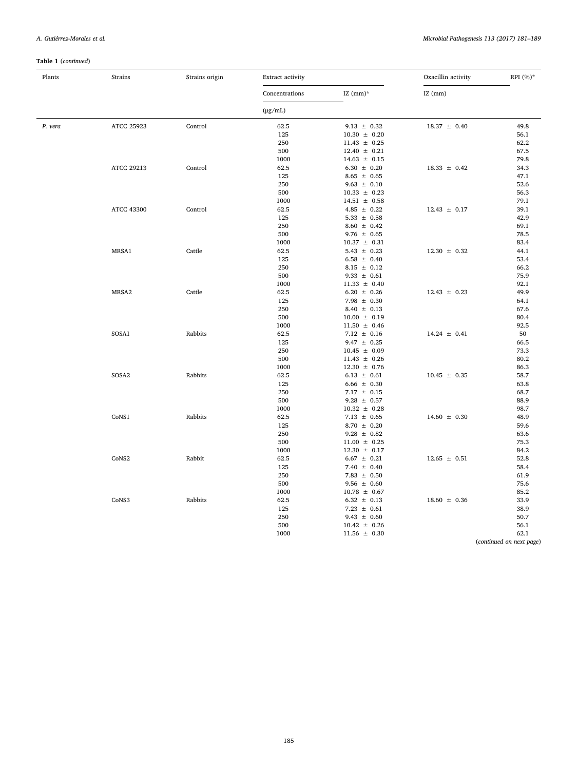# Table 1 (continued)

| Plants  | Strains           | Strains origin | <b>Extract activity</b> |                                     | Oxacillin activity | RPI $(\%)^*$             |
|---------|-------------------|----------------|-------------------------|-------------------------------------|--------------------|--------------------------|
|         |                   |                | Concentrations          | IZ $(mm)^*$                         | $IZ$ (mm)          |                          |
|         |                   |                | $(\mu g/mL)$            |                                     |                    |                          |
| P. vera | ATCC 25923        | Control        | 62.5                    | $9.13 \pm 0.32$                     | $18.37 \pm 0.40$   | 49.8                     |
|         |                   |                | 125                     | $10.30 \pm 0.20$                    |                    | 56.1                     |
|         |                   |                | 250                     | $11.43 \pm 0.25$                    |                    | 62.2                     |
|         |                   |                | 500                     | $12.40 \pm 0.21$                    |                    | 67.5                     |
|         |                   |                | 1000                    | $14.63 \pm 0.15$                    |                    | 79.8                     |
|         | ATCC 29213        | Control        | 62.5                    | $6.30 \pm 0.20$                     | $18.33 \pm 0.42$   | 34.3                     |
|         |                   |                | 125                     | $8.65 \pm 0.65$                     |                    | 47.1                     |
|         |                   |                | 250                     | $9.63 \pm 0.10$                     |                    | 52.6                     |
|         |                   |                | 500                     | $10.33 \pm 0.23$                    |                    | 56.3                     |
|         |                   |                | 1000                    | $14.51 \pm 0.58$                    |                    | 79.1                     |
|         | <b>ATCC 43300</b> | Control        | 62.5                    | 4.85 $\pm$ 0.22                     | $12.43 \pm 0.17$   | 39.1                     |
|         |                   |                | 125                     | 5.33 $\pm$ 0.58                     |                    | 42.9                     |
|         |                   |                | 250                     | $8.60 \pm 0.42$                     |                    | 69.1                     |
|         |                   |                | 500                     | $9.76 \pm 0.65$                     |                    | 78.5                     |
|         |                   |                | 1000                    | $10.37 \pm 0.31$                    |                    | 83.4                     |
|         | MRSA1             | Cattle         | 62.5                    | 5.43 $\pm$ 0.23                     | $12.30 \pm 0.32$   | 44.1                     |
|         |                   |                | 125                     | $6.58 \pm 0.40$                     |                    | 53.4                     |
|         |                   |                | 250<br>500              | $8.15 \pm 0.12$                     |                    | 66.2<br>75.9             |
|         |                   |                | 1000                    | $9.33 \pm 0.61$<br>$11.33 \pm 0.40$ |                    | 92.1                     |
|         | MRSA2             | Cattle         | 62.5                    | $6.20 \pm 0.26$                     | $12.43 \pm 0.23$   | 49.9                     |
|         |                   |                | 125                     | $7.98 \pm 0.30$                     |                    | 64.1                     |
|         |                   |                | 250                     | 8.40 $\pm$ 0.13                     |                    | 67.6                     |
|         |                   |                | 500                     | $10.00 \pm 0.19$                    |                    | 80.4                     |
|         |                   |                | 1000                    | $11.50 \pm 0.46$                    |                    | 92.5                     |
|         | SOSA1             | Rabbits        | 62.5                    | $7.12 \pm 0.16$                     | $14.24 \pm 0.41$   | 50                       |
|         |                   |                | 125                     | $9.47 \pm 0.25$                     |                    | 66.5                     |
|         |                   |                | 250                     | $10.45 \pm 0.09$                    |                    | 73.3                     |
|         |                   |                | 500                     | $11.43 \pm 0.26$                    |                    | 80.2                     |
|         |                   |                | 1000                    | $12.30 \pm 0.76$                    |                    | 86.3                     |
|         | SOSA <sub>2</sub> | Rabbits        | 62.5                    | $6.13 \pm 0.61$                     | $10.45 \pm 0.35$   | 58.7                     |
|         |                   |                | 125                     | $6.66 \pm 0.30$                     |                    | 63.8                     |
|         |                   |                | 250                     | $7.17 \pm 0.15$                     |                    | 68.7                     |
|         |                   |                | 500                     | $9.28 \pm 0.57$                     |                    | 88.9                     |
|         |                   |                | 1000                    | $10.32 \pm 0.28$                    |                    | 98.7                     |
|         | CoNS1             | Rabbits        | 62.5                    | $7.13 \pm 0.65$                     | $14.60 \pm 0.30$   | 48.9                     |
|         |                   |                | 125                     | $8.70 \pm 0.20$                     |                    | 59.6                     |
|         |                   |                | 250                     | $9.28 \pm 0.82$                     |                    | 63.6                     |
|         |                   |                | 500                     | $11.00 \pm 0.25$                    |                    | 75.3                     |
|         |                   |                | 1000                    | $12.30 \pm 0.17$                    |                    | 84.2                     |
|         | CoNS2             | Rabbit         | 62.5                    | $6.67 \pm 0.21$                     | $12.65 \pm 0.51$   | 52.8                     |
|         |                   |                | 125                     | 7.40 $\pm$ 0.40                     |                    | 58.4                     |
|         |                   |                | 250                     | 7.83 $\pm$ 0.50                     |                    | 61.9                     |
|         |                   |                | 500                     | $9.56 \pm 0.60$                     |                    | 75.6                     |
|         |                   |                | 1000                    | $10.78 \pm 0.67$                    |                    | 85.2                     |
|         | CoNS3             | Rabbits        | 62.5                    | $6.32 \pm 0.13$                     | $18.60 \pm 0.36$   | 33.9                     |
|         |                   |                | 125                     | $7.23 \pm 0.61$                     |                    | 38.9                     |
|         |                   |                | 250                     | $9.43 \pm 0.60$                     |                    | 50.7                     |
|         |                   |                | 500                     | $10.42 \pm 0.26$                    |                    | 56.1                     |
|         |                   |                | 1000                    | $11.56 \pm 0.30$                    |                    | 62.1                     |
|         |                   |                |                         |                                     |                    | (continued on next page) |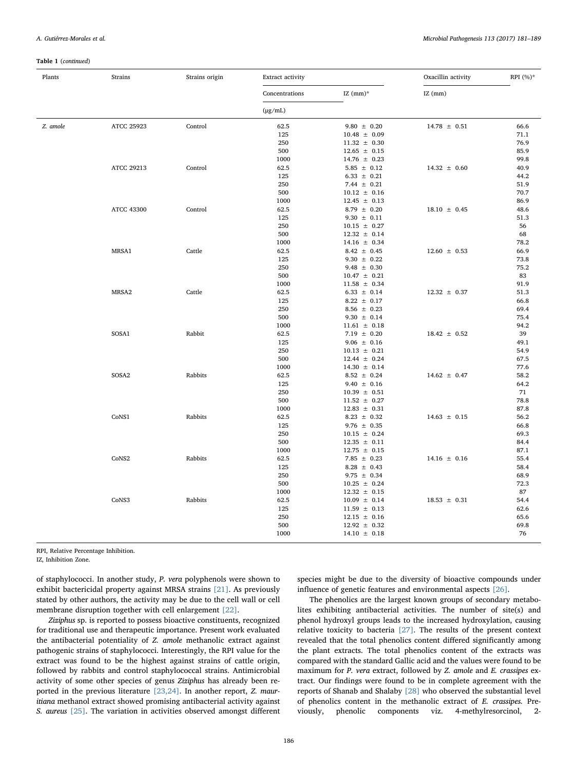#### Table 1 (continued)

| Plants   | Strains           | Strains origin | Extract activity |                                     | Oxacillin activity | RPI (%)*     |
|----------|-------------------|----------------|------------------|-------------------------------------|--------------------|--------------|
|          |                   |                | Concentrations   | IZ $(mm)^*$                         | $IZ$ (mm)          |              |
|          |                   |                | $(\mu g/mL)$     |                                     |                    |              |
| Z. amole | ATCC 25923        | Control        | 62.5             | $9.80 \pm 0.20$                     | $14.78 \pm 0.51$   | 66.6         |
|          |                   |                | 125              | $10.48 \pm 0.09$                    |                    | 71.1         |
|          |                   |                | 250              | $11.32 \pm 0.30$                    |                    | 76.9         |
|          |                   |                | 500              | $12.65 \pm 0.15$                    |                    | 85.9         |
|          |                   |                | 1000             | $14.76 \pm 0.23$                    |                    | 99.8         |
|          | ATCC 29213        | Control        | 62.5             | $5.85 \pm 0.12$                     | $14.32 \pm 0.60$   | 40.9         |
|          |                   |                | 125              | $6.33 \pm 0.21$                     |                    | 44.2         |
|          |                   |                | 250              | 7.44 $\pm$ 0.21                     |                    | 51.9         |
|          |                   |                | 500              | $10.12 \pm 0.16$                    |                    | 70.7         |
|          |                   |                | 1000             | $12.45 \pm 0.13$                    |                    | 86.9         |
|          | <b>ATCC 43300</b> | Control        | 62.5             | $8.79 \pm 0.20$                     | $18.10 \pm 0.45$   | 48.6         |
|          |                   |                | 125              | $9.30 \pm 0.11$                     |                    | 51.3         |
|          |                   |                | 250<br>500       | $10.15 \pm 0.27$                    |                    | 56           |
|          |                   |                | 1000             | $12.32 \pm 0.14$                    |                    | 68<br>78.2   |
|          | MRSA1             | Cattle         | 62.5             | $14.16 \pm 0.34$<br>$8.42 \pm 0.45$ | $12.60 \pm 0.53$   | 66.9         |
|          |                   |                | 125              | $9.30 \pm 0.22$                     |                    | 73.8         |
|          |                   |                | 250              | $9.48 \pm 0.30$                     |                    | 75.2         |
|          |                   |                | 500              | $10.47 \pm 0.21$                    |                    | 83           |
|          |                   |                | 1000             | $11.58 \pm 0.34$                    |                    | 91.9         |
|          | MRSA2             | Cattle         | 62.5             | $6.33 \pm 0.14$                     | $12.32 \pm 0.37$   | 51.3         |
|          |                   |                | 125              | $8.22 \pm 0.17$                     |                    | 66.8         |
|          |                   |                | 250              | $8.56 \pm 0.23$                     |                    | 69.4         |
|          |                   |                | 500              | $9.30 \pm 0.14$                     |                    | 75.4         |
|          |                   |                | 1000             | $11.61 \pm 0.18$                    |                    | 94.2         |
|          | SOSA1             | Rabbit         | 62.5             | $7.19 \pm 0.20$                     | $18.42 \pm 0.52$   | 39           |
|          |                   |                | 125              | $9.06 \pm 0.16$                     |                    | 49.1         |
|          |                   |                | 250              | $10.13 \pm 0.21$                    |                    | 54.9         |
|          |                   |                | 500              | $12.44 \pm 0.24$                    |                    | 67.5         |
|          |                   |                | 1000             | $14.30 \pm 0.14$                    |                    | 77.6         |
|          | SOSA2             | Rabbits        | 62.5             | $8.52 \pm 0.24$                     | $14.62 \pm 0.47$   | 58.2         |
|          |                   |                | 125              | $9.40 \pm 0.16$                     |                    | 64.2         |
|          |                   |                | 250              | $10.39 \pm 0.51$                    |                    | 71           |
|          |                   |                | 500              | $11.52 \pm 0.27$                    |                    | 78.8         |
|          |                   |                | 1000             | $12.83 \pm 0.31$                    |                    | 87.8         |
|          | CoNS1             | Rabbits        | 62.5             | $8.23 \pm 0.32$                     | $14.63 \pm 0.15$   | 56.2         |
|          |                   |                | 125              | $9.76 \pm 0.35$                     |                    | 66.8         |
|          |                   |                | 250              | $10.15 \pm 0.24$                    |                    | 69.3         |
|          |                   |                | 500<br>1000      | $12.35 \pm 0.11$                    |                    | 84.4<br>87.1 |
|          | CoNS2             | Rabbits        | 62.5             | $12.75 \pm 0.15$                    |                    | 55.4         |
|          |                   |                | 125              | $7.85 \pm 0.23$                     | $14.16 \pm 0.16$   | 58.4         |
|          |                   |                | 250              | $8.28 \pm 0.43$<br>$9.75 \pm 0.34$  |                    | 68.9         |
|          |                   |                | 500              | $10.25 \pm 0.24$                    |                    | 72.3         |
|          |                   |                | 1000             | $12.32 \pm 0.15$                    |                    | 87           |
|          | CoNS3             | Rabbits        | 62.5             | $10.09 \pm 0.14$                    | $18.53 \pm 0.31$   | 54.4         |
|          |                   |                | 125              | $11.59 \pm 0.13$                    |                    | 62.6         |
|          |                   |                | 250              | $12.15 \pm 0.16$                    |                    | 65.6         |
|          |                   |                | 500              | $12.92 \pm 0.32$                    |                    | 69.8         |
|          |                   |                | 1000             | $14.10 \pm 0.18$                    |                    | 76           |
|          |                   |                |                  |                                     |                    |              |

RPI, Relative Percentage Inhibition.

IZ, Inhibition Zone.

of staphylococci. In another study, P. vera polyphenols were shown to exhibit bactericidal property against MRSA strains [\[21\].](#page-7-18) As previously stated by other authors, the activity may be due to the cell wall or cell membrane disruption together with cell enlargement [\[22\].](#page-7-19)

Ziziphus sp. is reported to possess bioactive constituents, recognized for traditional use and therapeutic importance. Present work evaluated the antibacterial potentiality of Z. amole methanolic extract against pathogenic strains of staphylococci. Interestingly, the RPI value for the extract was found to be the highest against strains of cattle origin, followed by rabbits and control staphylococcal strains. Antimicrobial activity of some other species of genus Ziziphus has already been reported in the previous literature [\[23,24\]](#page-7-20). In another report, Z. mauritiana methanol extract showed promising antibacterial activity against S. aureus [\[25\]](#page-7-21). The variation in activities observed amongst different species might be due to the diversity of bioactive compounds under influence of genetic features and environmental aspects [\[26\]](#page-7-22).

The phenolics are the largest known groups of secondary metabolites exhibiting antibacterial activities. The number of site(s) and phenol hydroxyl groups leads to the increased hydroxylation, causing relative toxicity to bacteria [\[27\]](#page-8-0). The results of the present context revealed that the total phenolics content differed significantly among the plant extracts. The total phenolics content of the extracts was compared with the standard Gallic acid and the values were found to be maximum for P. vera extract, followed by Z. amole and E. crassipes extract. Our findings were found to be in complete agreement with the reports of Shanab and Shalaby [\[28\]](#page-8-1) who observed the substantial level of phenolics content in the methanolic extract of E. crassipes. Previously, phenolic components viz. 4-methylresorcinol, 2-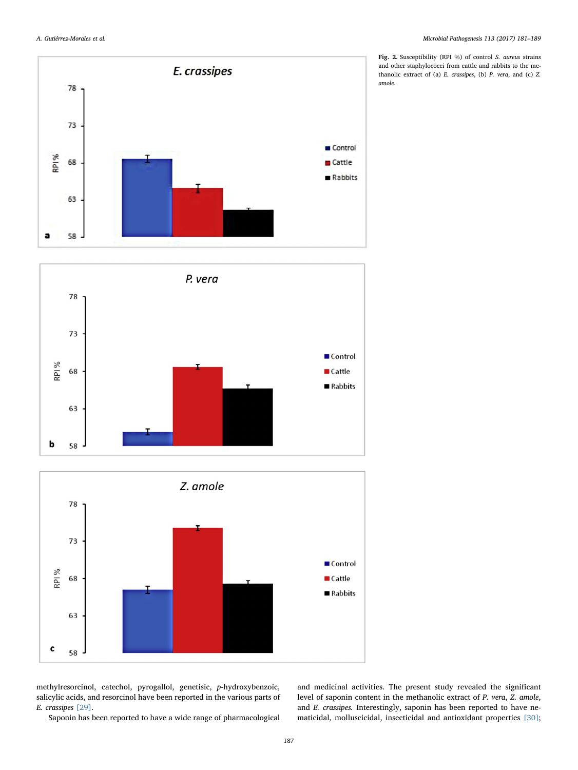<span id="page-6-0"></span>





methylresorcinol, catechol, pyrogallol, genetisic, p-hydroxybenzoic, salicylic acids, and resorcinol have been reported in the various parts of E. crassipes [\[29\]](#page-8-2).

Saponin has been reported to have a wide range of pharmacological

Fig. 2. Susceptibility (RPI %) of control S. aureus strains and other staphylococci from cattle and rabbits to the methanolic extract of (a) E. crassipes, (b) P. vera, and (c) Z. amole.

and medicinal activities. The present study revealed the significant level of saponin content in the methanolic extract of P. vera, Z. amole, and E. crassipes. Interestingly, saponin has been reported to have nematicidal, molluscicidal, insecticidal and antioxidant properties [\[30\]](#page-8-3);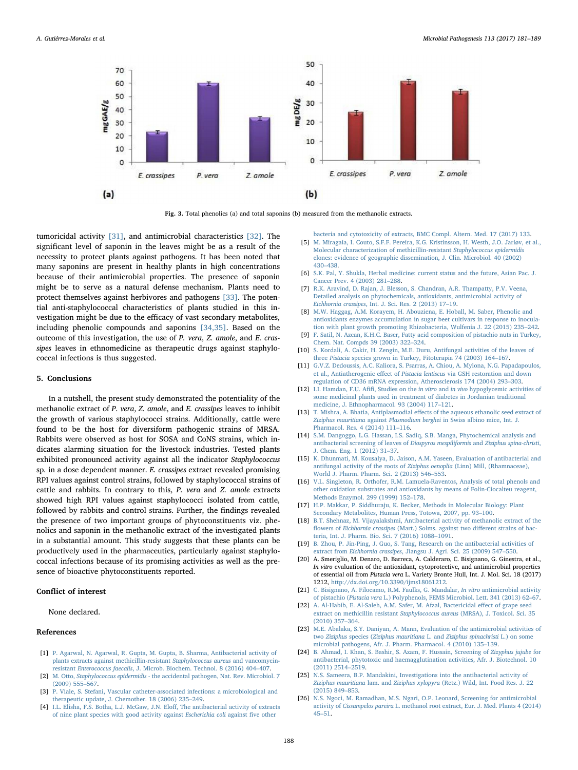<span id="page-7-14"></span>

Fig. 3. Total phenolics (a) and total saponins (b) measured from the methanolic extracts.

tumoricidal activity [\[31\]](#page-8-4), and antimicrobial characteristics [\[32\].](#page-8-5) The significant level of saponin in the leaves might be as a result of the necessity to protect plants against pathogens. It has been noted that many saponins are present in healthy plants in high concentrations because of their antimicrobial properties. The presence of saponin might be to serve as a natural defense mechanism. Plants need to protect themselves against herbivores and pathogens [\[33\]](#page-8-6). The potential anti-staphylococcal characteristics of plants studied in this investigation might be due to the efficacy of vast secondary metabolites, including phenolic compounds and saponins [\[34,35\]](#page-8-7). Based on the outcome of this investigation, the use of P. vera, Z. amole, and E. crassipes leaves in ethnomedicine as therapeutic drugs against staphylococcal infections is thus suggested.

## 5. Conclusions

In a nutshell, the present study demonstrated the potentiality of the methanolic extract of P. vera, Z. amole, and E. crassipes leaves to inhibit the growth of various staphylococci strains. Additionally, cattle were found to be the host for diversiform pathogenic strains of MRSA. Rabbits were observed as host for SOSA and CoNS strains, which indicates alarming situation for the livestock industries. Tested plants exhibited pronounced activity against all the indicator Staphylococcus sp. in a dose dependent manner. E. crassipes extract revealed promising RPI values against control strains, followed by staphylococcal strains of cattle and rabbits. In contrary to this, P. vera and Z. amole extracts showed high RPI values against staphylococci isolated from cattle, followed by rabbits and control strains. Further, the findings revealed the presence of two important groups of phytoconstituents viz. phenolics and saponin in the methanolic extract of the investigated plants in a substantial amount. This study suggests that these plants can be productively used in the pharmaceutics, particularly against staphylococcal infections because of its promising activities as well as the presence of bioactive phytoconstituents reported.

## Conflict of interest

None declared.

#### References

- <span id="page-7-0"></span>[1] [P. Agarwal, N. Agarwal, R. Gupta, M. Gupta, B. Sharma, Antibacterial activity of](http://refhub.elsevier.com/S0882-4010(17)31209-3/sref1) [plants extracts against methicillin-resistant](http://refhub.elsevier.com/S0882-4010(17)31209-3/sref1) Staphylococcus aureus and vancomycinresistant Enterococcus faecalis[, J. Microb. Biochem. Technol. 8 \(2016\) 404](http://refhub.elsevier.com/S0882-4010(17)31209-3/sref1)–407.
- <span id="page-7-1"></span>[2] M. Otto, *Staphylococcus epidermidis* [- the accidental pathogen, Nat. Rev. Microbiol. 7](http://refhub.elsevier.com/S0882-4010(17)31209-3/sref2) [\(2009\) 555](http://refhub.elsevier.com/S0882-4010(17)31209-3/sref2)–567.
- <span id="page-7-2"></span>[3] [P. Viale, S. Stefani, Vascular catheter-associated infections: a microbiological and](http://refhub.elsevier.com/S0882-4010(17)31209-3/sref3) [therapeutic update, J. Chemother. 18 \(2006\) 235](http://refhub.elsevier.com/S0882-4010(17)31209-3/sref3)–249.
- <span id="page-7-3"></span>[4] [I.L. Elisha, F.S. Botha, L.J. McGaw, J.N. Elo](http://refhub.elsevier.com/S0882-4010(17)31209-3/sref4)ff, The antibacterial activity of extracts [of nine plant species with good activity against](http://refhub.elsevier.com/S0882-4010(17)31209-3/sref4) Escherichia coli against five other

[bacteria and cytotoxicity of extracts, BMC Compl. Altern. Med. 17 \(2017\) 133.](http://refhub.elsevier.com/S0882-4010(17)31209-3/sref4)

- <span id="page-7-4"></span>[5] [M. Miragaia, I. Couto, S.F.F. Pereira, K.G. Kristinsson, H. Westh, J.O. Jarløv, et al.,](http://refhub.elsevier.com/S0882-4010(17)31209-3/sref5) [Molecular characterization of methicillin-resistant](http://refhub.elsevier.com/S0882-4010(17)31209-3/sref5) Staphylococcus epidermidis [clones: evidence of geographic dissemination, J. Clin. Microbiol. 40 \(2002\)](http://refhub.elsevier.com/S0882-4010(17)31209-3/sref5) 430–[438.](http://refhub.elsevier.com/S0882-4010(17)31209-3/sref5)
- <span id="page-7-5"></span>[6] [S.K. Pal, Y. Shukla, Herbal medicine: current status and the future, Asian Pac. J.](http://refhub.elsevier.com/S0882-4010(17)31209-3/sref6) [Cancer Prev. 4 \(2003\) 281](http://refhub.elsevier.com/S0882-4010(17)31209-3/sref6)–288.
- <span id="page-7-6"></span>[7] [R.K. Aravind, D. Rajan, J. Blesson, S. Chandran, A.R. Thampatty, P.V. Veena,](http://refhub.elsevier.com/S0882-4010(17)31209-3/sref7) [Detailed analysis on phytochemicals, antioxidants, antimicrobial activity of](http://refhub.elsevier.com/S0882-4010(17)31209-3/sref7) Eichhornia crassipes[, Int. J. Sci. Res. 2 \(2013\) 17](http://refhub.elsevier.com/S0882-4010(17)31209-3/sref7)–19.
- <span id="page-7-7"></span>[8] [M.W. Haggag, A.M. Korayem, H. Abouziena, E. Hoball, M. Saber, Phenolic and](http://refhub.elsevier.com/S0882-4010(17)31209-3/sref8) [antioxidants enzymes accumulation in sugar beet cultivars in response to inocula](http://refhub.elsevier.com/S0882-4010(17)31209-3/sref8)[tion with plant growth promoting Rhizobacteria, Wulfenia J. 22 \(2015\) 235](http://refhub.elsevier.com/S0882-4010(17)31209-3/sref8)–242.
- <span id="page-7-8"></span>[9] [F. Satil, N. Azcan, K.H.C. Baser, Fatty acid composition of pistachio nuts in Turkey,](http://refhub.elsevier.com/S0882-4010(17)31209-3/sref9) [Chem. Nat. Compds 39 \(2003\) 322](http://refhub.elsevier.com/S0882-4010(17)31209-3/sref9)–324.
- <span id="page-7-9"></span>[10] [S. Kordali, A. Cakir, H. Zengin, M.E. Duru, Antifungal activities of the leaves of](http://refhub.elsevier.com/S0882-4010(17)31209-3/sref10) three Pistacia [species grown in Turkey, Fitoterapia 74 \(2003\) 164](http://refhub.elsevier.com/S0882-4010(17)31209-3/sref10)–167.
- [11] [G.V.Z. Dedoussis, A.C. Kaliora, S. Psarras, A. Chiou, A. Mylona, N.G. Papadapoulos,](http://refhub.elsevier.com/S0882-4010(17)31209-3/sref11) et al., Antiatherogenic effect of Pistacia lentiscus [via GSH restoration and down](http://refhub.elsevier.com/S0882-4010(17)31209-3/sref11) [regulation of CD36 mRNA expression, Atherosclerosis 174 \(2004\) 293](http://refhub.elsevier.com/S0882-4010(17)31209-3/sref11)–303.
- [12] I.I. Hamdan, F.U. Afifi, Studies on the in vitro and in vivo [hypoglycemic activities of](http://refhub.elsevier.com/S0882-4010(17)31209-3/sref12) [some medicinal plants used in treatment of diabetes in Jordanian traditional](http://refhub.elsevier.com/S0882-4010(17)31209-3/sref12) [medicine, J. Ethnopharmacol. 93 \(2004\) 117](http://refhub.elsevier.com/S0882-4010(17)31209-3/sref12)–121.
- <span id="page-7-10"></span>[13] T. Mishra, A. Bhatia, Antiplasmodial eff[ects of the aqueous ethanolic seed extract of](http://refhub.elsevier.com/S0882-4010(17)31209-3/sref13) Ziziphus mauritiana against Plasmodium berghei [in Swiss albino mice, Int. J.](http://refhub.elsevier.com/S0882-4010(17)31209-3/sref13) [Pharmacol. Res. 4 \(2014\) 111](http://refhub.elsevier.com/S0882-4010(17)31209-3/sref13)–116.
- <span id="page-7-11"></span>[14] [S.M. Dangoggo, L.G. Hassan, I.S. Sadiq, S.B. Manga, Phytochemical analysis and](http://refhub.elsevier.com/S0882-4010(17)31209-3/sref14) [antibacterial screening of leaves of](http://refhub.elsevier.com/S0882-4010(17)31209-3/sref14) Diospyros mespiliformis and Ziziphus spina-christi, [J. Chem. Eng. 1 \(2012\) 31](http://refhub.elsevier.com/S0882-4010(17)31209-3/sref14)–37.
- [15] [K. Dhunmati, M. Kousalya, D. Jaison, A.M. Yaseen, Evaluation of antibacterial and](http://refhub.elsevier.com/S0882-4010(17)31209-3/sref15) [antifungal activity of the roots of](http://refhub.elsevier.com/S0882-4010(17)31209-3/sref15) Ziziphus oenoplia (Linn) Mill, (Rhamnaceae), [World J. Pharm. Pharm. Sci. 2 \(2013\) 546](http://refhub.elsevier.com/S0882-4010(17)31209-3/sref15)–553.
- <span id="page-7-12"></span>[16] [V.L. Singleton, R. Orthofer, R.M. Lamuela-Raventos, Analysis of total phenols and](http://refhub.elsevier.com/S0882-4010(17)31209-3/sref16) [other oxidation substrates and antioxidants by means of Folin-Ciocalteu reagent,](http://refhub.elsevier.com/S0882-4010(17)31209-3/sref16) [Methods Enzymol. 299 \(1999\) 152](http://refhub.elsevier.com/S0882-4010(17)31209-3/sref16)–178.
- <span id="page-7-13"></span>[17] [H.P. Makkar, P. Siddhuraju, K. Becker, Methods in Molecular Biology: Plant](http://refhub.elsevier.com/S0882-4010(17)31209-3/sref17) [Secondary Metabolites, Human Press, Totowa, 2007, pp. 93](http://refhub.elsevier.com/S0882-4010(17)31209-3/sref17)–100.
- <span id="page-7-15"></span>[18] [B.T. Shehnaz, M. Vijayalakshmi, Antibacterial activity of methanolic extract of the](http://refhub.elsevier.com/S0882-4010(17)31209-3/sref18) flowers of Eichhornia crassipes [\(Mart.\) Solms. against two di](http://refhub.elsevier.com/S0882-4010(17)31209-3/sref18)fferent strains of bac[teria, Int. J. Pharm. Bio. Sci. 7 \(2016\) 1088](http://refhub.elsevier.com/S0882-4010(17)31209-3/sref18)–1091.
- <span id="page-7-16"></span>[19] [B. Zhou, P. Jin-Ping, J. Guo, S. Tang, Research on the antibacterial activities of](http://refhub.elsevier.com/S0882-4010(17)31209-3/sref19) extract from Eichhornia crassipes[, Jiangsu J. Agri. Sci. 25 \(2009\) 547](http://refhub.elsevier.com/S0882-4010(17)31209-3/sref19)–550.
- <span id="page-7-17"></span>[20] A. Smeriglio, M. Denaro, D. Barreca, A. Calderaro, C. Bisignano, G. Ginestra, et al., In vitro evaluation of the antioxidant, cytoprotective, and antimicrobial properties of essential oil from Pistacia vera L. Variety Bronte Hull, Int. J. Mol. Sci. 18 (2017) 1212, [http://dx.doi.org/10.3390/ijms18061212.](http://dx.doi.org/10.3390/ijms18061212)
- <span id="page-7-18"></span>[21] [C. Bisignano, A. Filocamo, R.M. Faulks, G. Mandalar,](http://refhub.elsevier.com/S0882-4010(17)31209-3/sref21) In vitro antimicrobial activity of pistachio (Pistacia vera [L.\) Polyphenols, FEMS Microbiol. Lett. 341 \(2013\) 62](http://refhub.elsevier.com/S0882-4010(17)31209-3/sref21)–67.
- <span id="page-7-19"></span>[22] [A. Al-Habib, E. Al-Saleh, A.M. Safer, M. Afzal, Bactericidal e](http://refhub.elsevier.com/S0882-4010(17)31209-3/sref22)ffect of grape seed [extract on methicillin resistant](http://refhub.elsevier.com/S0882-4010(17)31209-3/sref22) Staphylococcus aureus (MRSA), J. Toxicol. Sci. 35 [\(2010\) 357](http://refhub.elsevier.com/S0882-4010(17)31209-3/sref22)–364.
- <span id="page-7-20"></span>[23] [M.E. Abalaka, S.Y. Daniyan, A. Mann, Evaluation of the antimicrobial activities of](http://refhub.elsevier.com/S0882-4010(17)31209-3/sref23) two Ziziphus species (Ziziphus mauritiana L. and [Ziziphus spinachristi](http://refhub.elsevier.com/S0882-4010(17)31209-3/sref23) L.) on some [microbial pathogens, Afr. J. Pharm. Pharmacol. 4 \(2010\) 135](http://refhub.elsevier.com/S0882-4010(17)31209-3/sref23)–139.
- [24] [B. Ahmad, I. Khan, S. Bashir, S. Azam, F. Hussain, Screening of](http://refhub.elsevier.com/S0882-4010(17)31209-3/sref24) Zizyphus jujube for [antibacterial, phytotoxic and haemagglutination activities, Afr. J. Biotechnol. 10](http://refhub.elsevier.com/S0882-4010(17)31209-3/sref24) [\(2011\) 2514](http://refhub.elsevier.com/S0882-4010(17)31209-3/sref24)–2519.
- <span id="page-7-21"></span>[25] [N.S. Sameera, B.P. Mandakini, Investigations into the antibacterial activity of](http://refhub.elsevier.com/S0882-4010(17)31209-3/sref25) Ziziphus mauritiana lam. and Ziziphus xylopyra [\(Retz.\) Wild, Int. Food Res. J. 22](http://refhub.elsevier.com/S0882-4010(17)31209-3/sref25) [\(2015\) 849](http://refhub.elsevier.com/S0882-4010(17)31209-3/sref25)–853.
- <span id="page-7-22"></span>[26] [N.S. Ngoci, M. Ramadhan, M.S. Ngari, O.P. Leonard, Screening for antimicrobial](http://refhub.elsevier.com/S0882-4010(17)31209-3/sref26) activity of Cissampelos pareira [L. methanol root extract, Eur. J. Med. Plants 4 \(2014\)](http://refhub.elsevier.com/S0882-4010(17)31209-3/sref26) 45–[51.](http://refhub.elsevier.com/S0882-4010(17)31209-3/sref26)